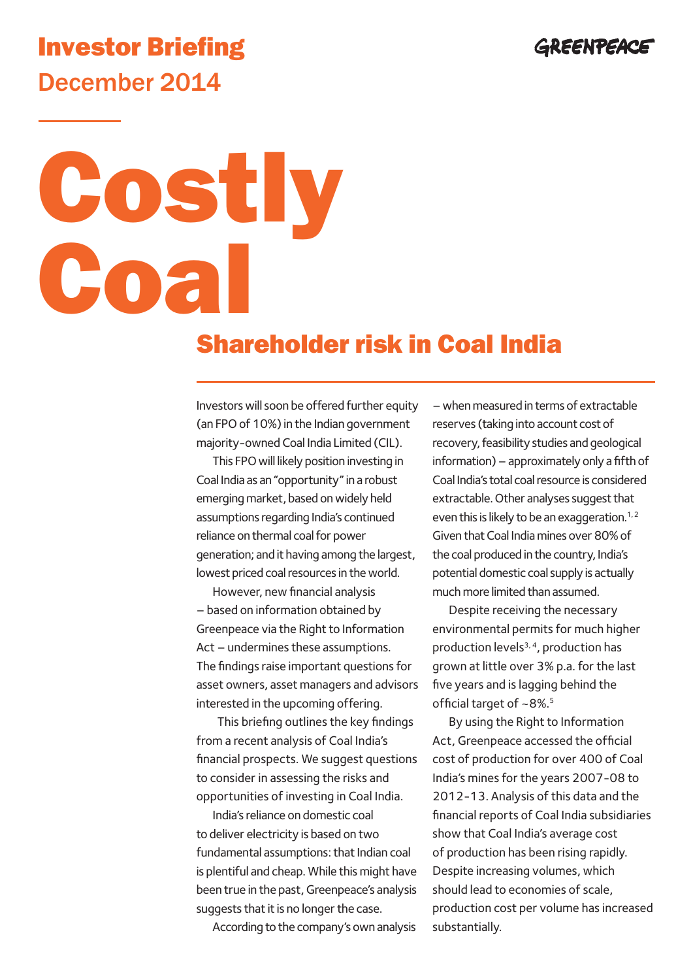## GREENPEACE

## Investor Briefing December 2014

# Costly Coal

## Shareholder risk in Coal India

Investors will soon be offered further equity (an FPO of 10%) in the Indian government majority-owned Coal India Limited (CIL).

This FPO will likely position investing in Coal India as an "opportunity" in a robust emerging market, based on widely held assumptions regarding India's continued reliance on thermal coal for power generation; and it having among the largest, lowest priced coal resources in the world.

However, new financial analysis – based on information obtained by Greenpeace via the Right to Information Act – undermines these assumptions. The findings raise important questions for asset owners, asset managers and advisors interested in the upcoming offering.

 This briefing outlines the key findings from a recent analysis of Coal India's financial prospects. We suggest questions to consider in assessing the risks and opportunities of investing in Coal India.

India's reliance on domestic coal to deliver electricity is based on two fundamental assumptions: that Indian coal is plentiful and cheap. While this might have been true in the past, Greenpeace's analysis suggests that it is no longer the case.

According to the company's own analysis

– when measured in terms of extractable reserves (taking into account cost of recovery, feasibility studies and geological information) – approximately only a fifth of Coal India's total coal resource is considered extractable. Other analyses suggest that even this is likely to be an exaggeration.<sup>1,2</sup> Given that Coal India mines over 80% of the coal produced in the country, India's potential domestic coal supply is actually much more limited than assumed.

Despite receiving the necessary environmental permits for much higher production levels $3, 4$ , production has grown at little over 3% p.a. for the last five years and is lagging behind the official target of ~8%.5

By using the Right to Information Act, Greenpeace accessed the official cost of production for over 400 of Coal India's mines for the years 2007-08 to 2012-13. Analysis of this data and the financial reports of Coal India subsidiaries show that Coal India's average cost of production has been rising rapidly. Despite increasing volumes, which should lead to economies of scale, production cost per volume has increased substantially.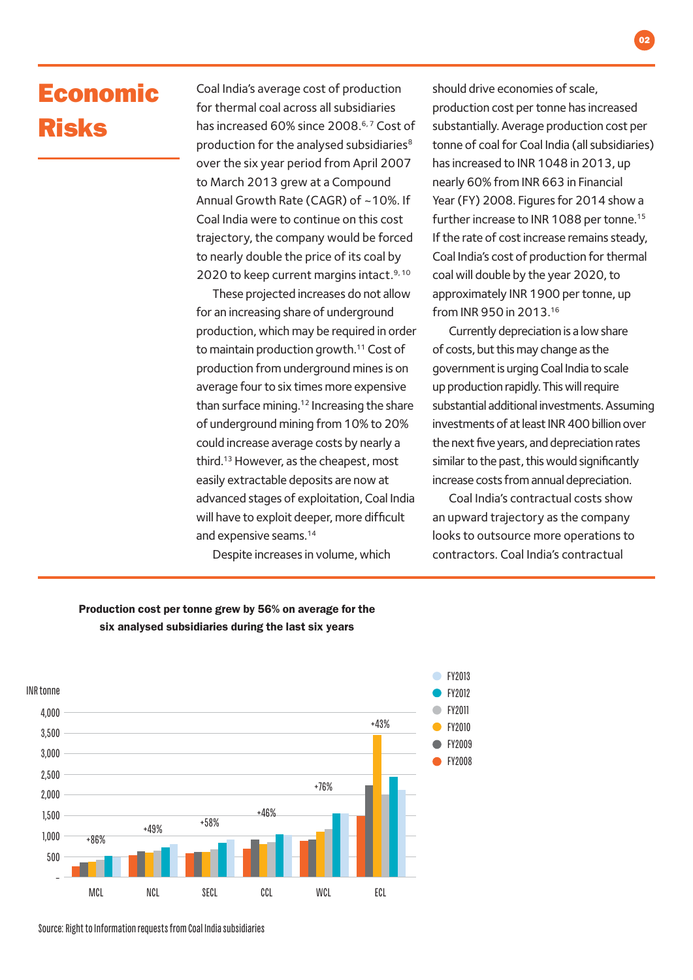## Economic Risks

Coal India's average cost of production for thermal coal across all subsidiaries has increased 60% since 2008.<sup>6,7</sup> Cost of production for the analysed subsidiaries<sup>8</sup> over the six year period from April 2007 to March 2013 grew at a Compound Annual Growth Rate (CAGR) of ~10%. If Coal India were to continue on this cost trajectory, the company would be forced to nearly double the price of its coal by 2020 to keep current margins intact.<sup>9, 10</sup>

These projected increases do not allow for an increasing share of underground production, which may be required in order to maintain production growth.<sup>11</sup> Cost of production from underground mines is on average four to six times more expensive than surface mining.<sup>12</sup> Increasing the share of underground mining from 10% to 20% could increase average costs by nearly a third.13 However, as the cheapest, most easily extractable deposits are now at advanced stages of exploitation, Coal India will have to exploit deeper, more difficult and expensive seams.<sup>14</sup>

Despite increases in volume, which

should drive economies of scale, production cost per tonne has increased substantially. Average production cost per tonne of coal for Coal India (all subsidiaries) has increased to INR 1048 in 2013, up nearly 60% from INR 663 in Financial Year (FY) 2008. Figures for 2014 show a further increase to INR 1088 per tonne.<sup>15</sup> If the rate of cost increase remains steady, Coal India's cost of production for thermal coal will double by the year 2020, to approximately INR 1900 per tonne, up from INR 950 in 2013.16

Currently depreciation is a low share of costs, but this may change as the government is urging Coal India to scale up production rapidly. This will require substantial additional investments. Assuming investments of at least INR 400 billion over the next five years, and depreciation rates similar to the past, this would significantly increase costs from annual depreciation.

Coal India's contractual costs show an upward trajectory as the company looks to outsource more operations to contractors. Coal India's contractual



### Production cost per tonne grew by 56% on average for the six analysed subsidiaries during the last six years

Source: Right to Information requests from Coal India subsidiaries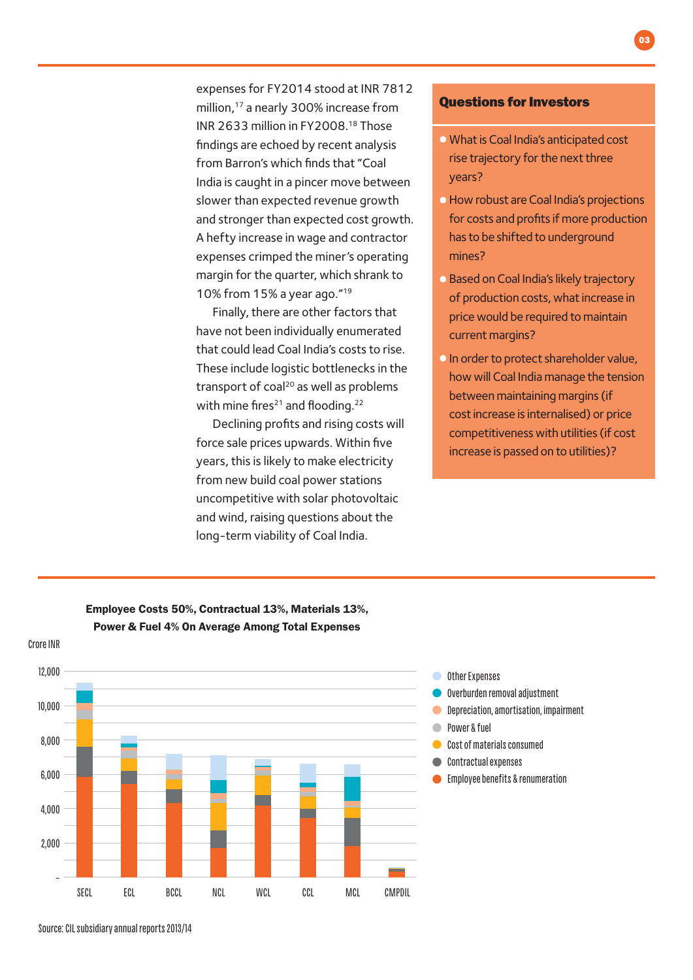expenses for FY2014 stood at INR 7812 million,17 a nearly 300% increase from INR 2633 million in FY2008.18 Those findings are echoed by recent analysis from Barron's which finds that "Coal India is caught in a pincer move between slower than expected revenue growth and stronger than expected cost growth. A hefty increase in wage and contractor expenses crimped the miner's operating margin for the quarter, which shrank to 10% from 15% a year ago."19

Finally, there are other factors that have not been individually enumerated that could lead Coal India's costs to rise. These include logistic bottlenecks in the transport of coal<sup>20</sup> as well as problems with mine fires $21$  and flooding.<sup>22</sup>

Declining profits and rising costs will force sale prices upwards. Within five years, this is likely to make electricity from new build coal power stations uncompetitive with solar photovoltaic and wind, raising questions about the long-term viability of Coal India.

#### Questions for Investors

• What is Coal India's anticipated cost rise trajectory for the next three years?

03

- •How robust are Coal India's projections for costs and profits if more production has to be shifted to underground mines?
- Based on Coal India's likely trajectory of production costs, what increase in price would be required to maintain current margins?
- •In order to protect shareholder value, how will Coal India manage the tension between maintaining margins (if cost increase is internalised) or price competitiveness with utilities (if cost increase is passed on to utilities)?



Employee Costs 50%, Contractual 13%, Materials 13%, Power & Fuel 4% On Average Among Total Expenses

Source: CIL subsidiary annual reports 2013/14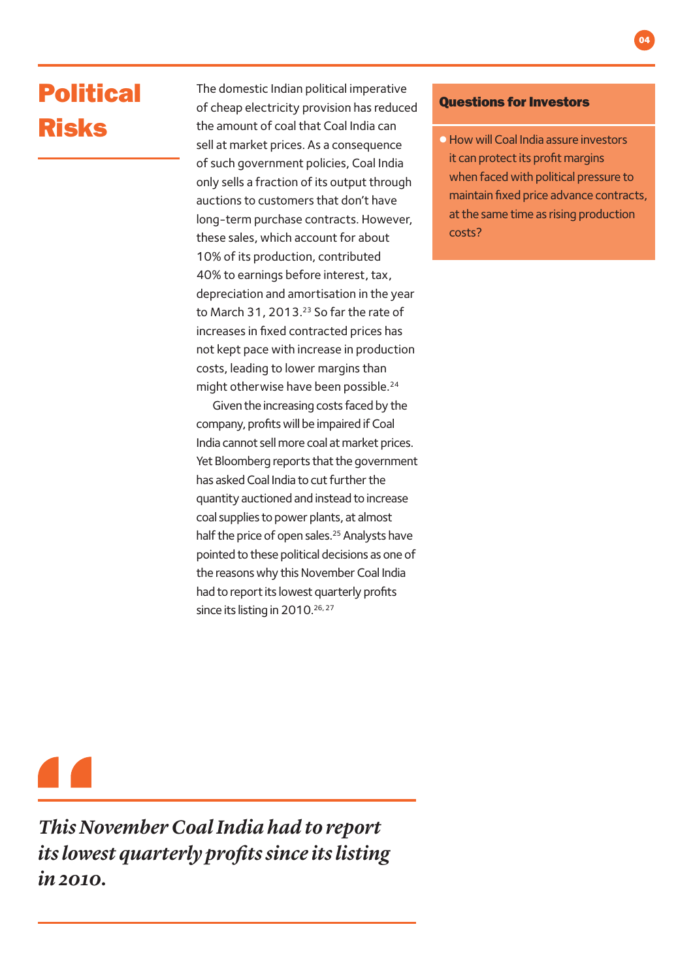# Political Risks

The domestic Indian political imperative of cheap electricity provision has reduced the amount of coal that Coal India can sell at market prices. As a consequence of such government policies, Coal India only sells a fraction of its output through auctions to customers that don't have long-term purchase contracts. However, these sales, which account for about 10% of its production, contributed 40% to earnings before interest, tax, depreciation and amortisation in the year to March 31, 2013.<sup>23</sup> So far the rate of increases in fixed contracted prices has not kept pace with increase in production costs, leading to lower margins than might otherwise have been possible.24

Given the increasing costs faced by the company, profits will be impaired if Coal India cannot sell more coal at market prices. Yet Bloomberg reports that the government has asked Coal India to cut further the quantity auctioned and instead to increase coal supplies to power plants, at almost half the price of open sales.<sup>25</sup> Analysts have pointed to these political decisions as one of the reasons why this November Coal India had to report its lowest quarterly profits since its listing in 2010.<sup>26, 27</sup>

#### Questions for Investors

**• How will Coal India assure investors** it can protect its profit margins when faced with political pressure to maintain fixed price advance contracts, at the same time as rising production costs?

*This November Coal India had to report its lowest quarterly profits since its listing in 2010.*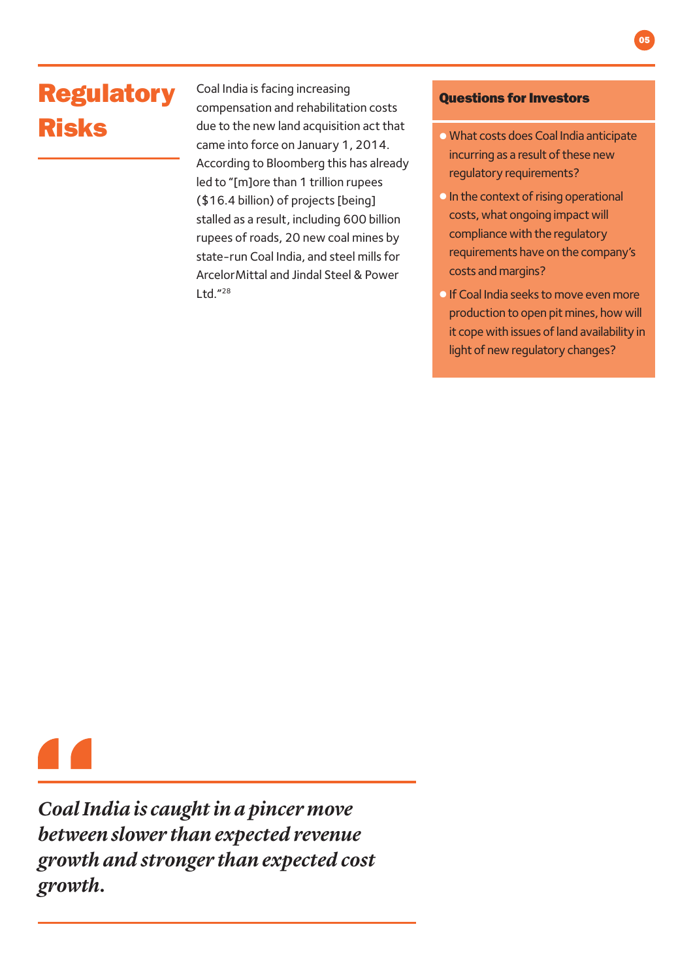# Regulatory Risks

Coal India is facing increasing compensation and rehabilitation costs due to the new land acquisition act that came into force on January 1, 2014. According to Bloomberg this has already led to "[m]ore than 1 trillion rupees (\$16.4 billion) of projects [being] stalled as a result, including 600 billion rupees of roads, 20 new coal mines by state-run Coal India, and steel mills for ArcelorMittal and Jindal Steel & Power Ltd."28

### Questions for Investors

- What costs does Coal India anticipate incurring as a result of these new regulatory requirements?
- **•** In the context of rising operational costs, what ongoing impact will compliance with the regulatory requirements have on the company's costs and margins?
- **•** If Coal India seeks to move even more production to open pit mines, how will it cope with issues of land availability in light of new regulatory changes?

*Coal India is caught in a pincer move between slower than expected revenue growth and stronger than expected cost growth.*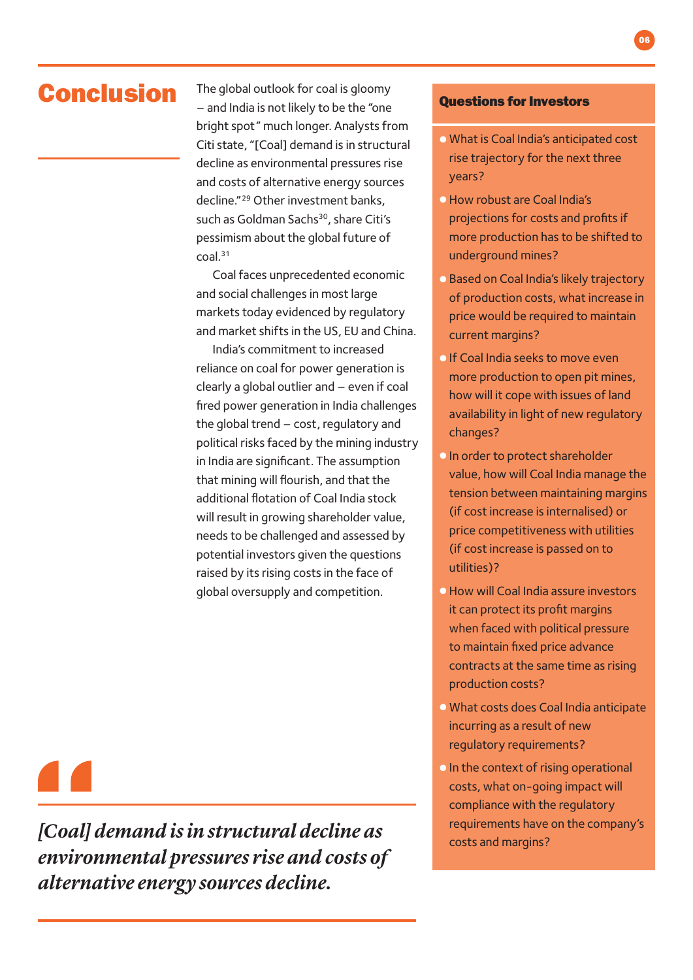Conclusion The global outlook for coal is gloomy – and India is not likely to be the "one bright spot" much longer. Analysts from Citi state, "[Coal] demand is in structural decline as environmental pressures rise and costs of alternative energy sources decline."29 Other investment banks, such as Goldman Sachs<sup>30</sup>, share Citi's pessimism about the global future of coal.31

> Coal faces unprecedented economic and social challenges in most large markets today evidenced by regulatory and market shifts in the US, EU and China.

India's commitment to increased reliance on coal for power generation is clearly a global outlier and – even if coal fired power generation in India challenges the global trend – cost, regulatory and political risks faced by the mining industry in India are significant. The assumption that mining will flourish, and that the additional flotation of Coal India stock will result in growing shareholder value, needs to be challenged and assessed by potential investors given the questions raised by its rising costs in the face of global oversupply and competition.

#### Questions for Investors

- What is Coal India's anticipated cost rise trajectory for the next three years?
- •How robust are Coal India's projections for costs and profits if more production has to be shifted to underground mines?
- Based on Coal India's likely trajectory of production costs, what increase in price would be required to maintain current margins?
- **If Coal India seeks to move even** more production to open pit mines, how will it cope with issues of land availability in light of new regulatory changes?
- **•** In order to protect shareholder value, how will Coal India manage the tension between maintaining margins (if cost increase is internalised) or price competitiveness with utilities (if cost increase is passed on to utilities)?
- •How will Coal India assure investors it can protect its profit margins when faced with political pressure to maintain fixed price advance contracts at the same time as rising production costs?
- What costs does Coal India anticipate incurring as a result of new regulatory requirements?
- •In the context of rising operational costs, what on-going impact will compliance with the regulatory requirements have on the company's

*[Coal] demand is in structural decline as costs and margins? environmental pressures rise and costs of alternative energy sources decline.*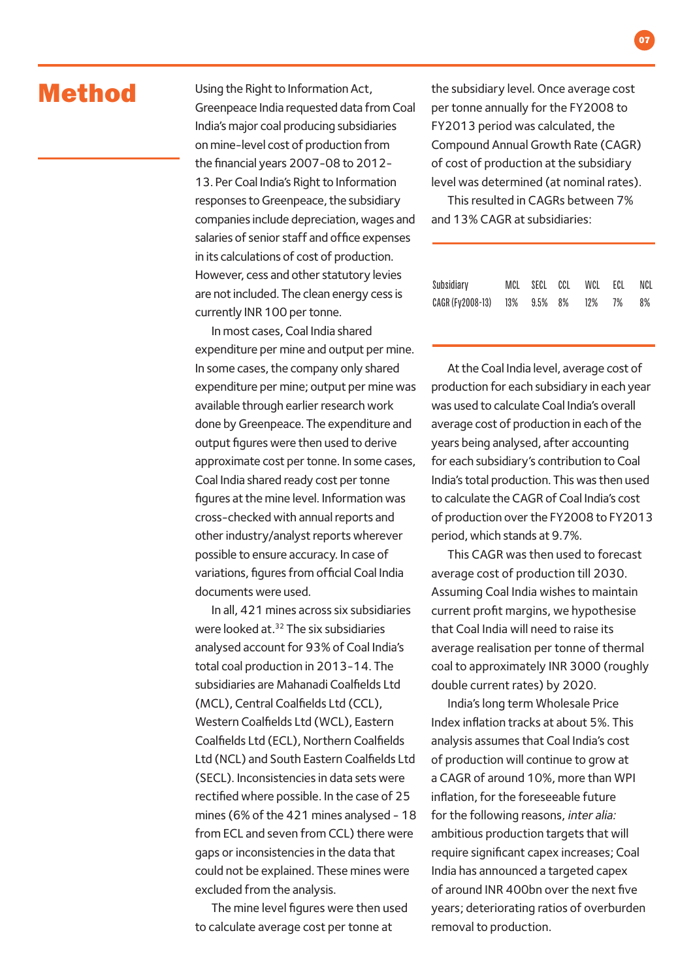## Method

Using the Right to Information Act, Greenpeace India requested data from Coal India's major coal producing subsidiaries on mine-level cost of production from the financial years 2007-08 to 2012- 13. Per Coal India's Right to Information responses to Greenpeace, the subsidiary companies include depreciation, wages and salaries of senior staff and office expenses in its calculations of cost of production. However, cess and other statutory levies are not included. The clean energy cess is currently INR 100 per tonne.

In most cases, Coal India shared expenditure per mine and output per mine. In some cases, the company only shared expenditure per mine; output per mine was available through earlier research work done by Greenpeace. The expenditure and output figures were then used to derive approximate cost per tonne. In some cases, Coal India shared ready cost per tonne figures at the mine level. Information was cross-checked with annual reports and other industry/analyst reports wherever possible to ensure accuracy. In case of variations, figures from official Coal India documents were used.

In all, 421 mines across six subsidiaries were looked at.32 The six subsidiaries analysed account for 93% of Coal India's total coal production in 2013-14. The subsidiaries are Mahanadi Coalfields Ltd (MCL), Central Coalfields Ltd (CCL), Western Coalfields Ltd (WCL), Eastern Coalfields Ltd (ECL), Northern Coalfields Ltd (NCL) and South Eastern Coalfields Ltd (SECL). Inconsistencies in data sets were rectified where possible. In the case of 25 mines (6% of the 421 mines analysed - 18 from ECL and seven from CCL) there were gaps or inconsistencies in the data that could not be explained. These mines were excluded from the analysis.

The mine level figures were then used to calculate average cost per tonne at

the subsidiary level. Once average cost per tonne annually for the FY2008 to FY2013 period was calculated, the Compound Annual Growth Rate (CAGR) of cost of production at the subsidiary level was determined (at nominal rates).

This resulted in CAGRs between 7% and 13% CAGR at subsidiaries:

| Subsidiary                   |  | MCL SECL CCL WCL ECL NCL |    |
|------------------------------|--|--------------------------|----|
| CAGR (Fy2008-13) 13% 9.5% 8% |  | 12% 7%                   | 8% |

At the Coal India level, average cost of production for each subsidiary in each year was used to calculate Coal India's overall average cost of production in each of the years being analysed, after accounting for each subsidiary's contribution to Coal India's total production. This was then used to calculate the CAGR of Coal India's cost of production over the FY2008 to FY2013 period, which stands at 9.7%.

This CAGR was then used to forecast average cost of production till 2030. Assuming Coal India wishes to maintain current profit margins, we hypothesise that Coal India will need to raise its average realisation per tonne of thermal coal to approximately INR 3000 (roughly double current rates) by 2020.

India's long term Wholesale Price Index inflation tracks at about 5%. This analysis assumes that Coal India's cost of production will continue to grow at a CAGR of around 10%, more than WPI inflation, for the foreseeable future for the following reasons, inter alia: ambitious production targets that will require significant capex increases; Coal India has announced a targeted capex of around INR 400bn over the next five years; deteriorating ratios of overburden removal to production.

07